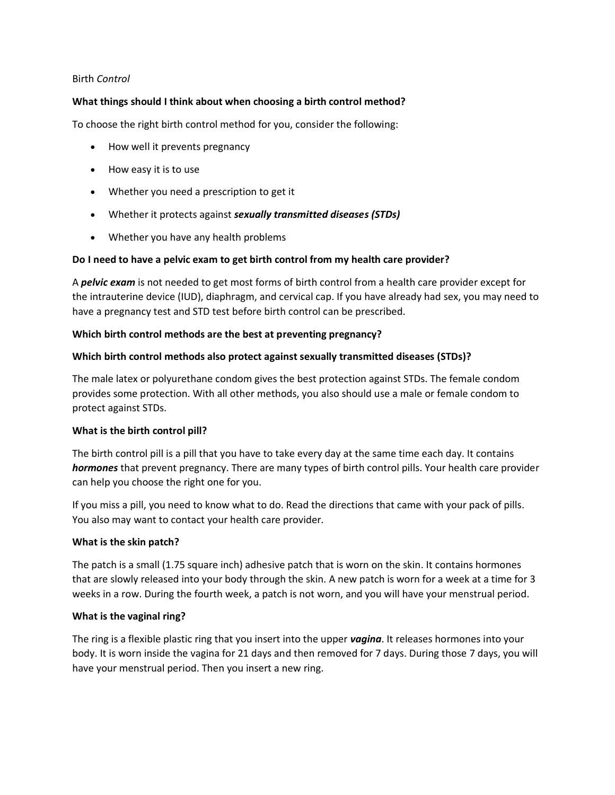#### Birth *Control*

#### **What things should I think about when choosing a birth control method?**

To choose the right birth control method for you, consider the following:

- How well it prevents pregnancy
- How easy it is to use
- Whether you need a prescription to get it
- Whether it protects against *sexually transmitted diseases (STDs)*
- Whether you have any health problems

### **Do I need to have a pelvic exam to get birth control from my health care provider?**

A *pelvic exam* is not needed to get most forms of birth control from a health care provider except for the intrauterine device (IUD), diaphragm, and cervical cap. If you have already had sex, you may need to have a pregnancy test and STD test before birth control can be prescribed.

#### **Which birth control methods are the best at preventing pregnancy?**

### **Which birth control methods also protect against sexually transmitted diseases (STDs)?**

The male latex or polyurethane condom gives the best protection against STDs. The female condom provides some protection. With all other methods, you also should use a male or female condom to protect against STDs.

### **What is the birth control pill?**

The birth control pill is a pill that you have to take every day at the same time each day. It contains *hormones* that prevent pregnancy. There are many types of birth control pills. Your health care provider can help you choose the right one for you.

If you miss a pill, you need to know what to do. Read the directions that came with your pack of pills. You also may want to contact your health care provider.

#### **What is the skin patch?**

The patch is a small (1.75 square inch) adhesive patch that is worn on the skin. It contains hormones that are slowly released into your body through the skin. A new patch is worn for a week at a time for 3 weeks in a row. During the fourth week, a patch is not worn, and you will have your menstrual period.

#### **What is the vaginal ring?**

The ring is a flexible plastic ring that you insert into the upper *vagina*. It releases hormones into your body. It is worn inside the vagina for 21 days and then removed for 7 days. During those 7 days, you will have your menstrual period. Then you insert a new ring.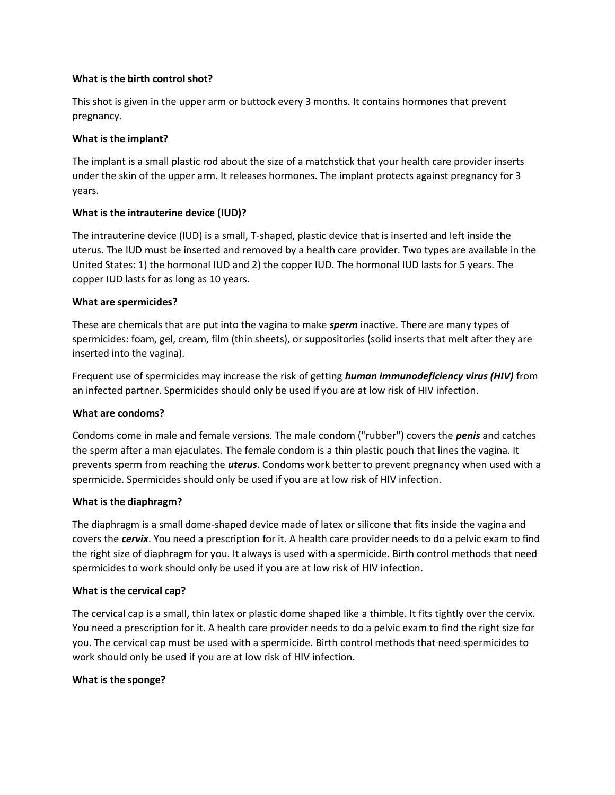### **What is the birth control shot?**

This shot is given in the upper arm or buttock every 3 months. It contains hormones that prevent pregnancy.

### **What is the implant?**

The implant is a small plastic rod about the size of a matchstick that your health care provider inserts under the skin of the upper arm. It releases hormones. The implant protects against pregnancy for 3 years.

### **What is the intrauterine device (IUD)?**

The intrauterine device (IUD) is a small, T-shaped, plastic device that is inserted and left inside the uterus. The IUD must be inserted and removed by a health care provider. Two types are available in the United States: 1) the hormonal IUD and 2) the copper IUD. The hormonal IUD lasts for 5 years. The copper IUD lasts for as long as 10 years.

### **What are spermicides?**

These are chemicals that are put into the vagina to make *sperm* inactive. There are many types of spermicides: foam, gel, cream, film (thin sheets), or suppositories (solid inserts that melt after they are inserted into the vagina).

Frequent use of spermicides may increase the risk of getting *human immunodeficiency virus (HIV)* from an infected partner. Spermicides should only be used if you are at low risk of HIV infection.

### **What are condoms?**

Condoms come in male and female versions. The male condom ("rubber") covers the *penis* and catches the sperm after a man ejaculates. The female condom is a thin plastic pouch that lines the vagina. It prevents sperm from reaching the *uterus*. Condoms work better to prevent pregnancy when used with a spermicide. Spermicides should only be used if you are at low risk of HIV infection.

### **What is the diaphragm?**

The diaphragm is a small dome-shaped device made of latex or silicone that fits inside the vagina and covers the *cervix*. You need a prescription for it. A health care provider needs to do a pelvic exam to find the right size of diaphragm for you. It always is used with a spermicide. Birth control methods that need spermicides to work should only be used if you are at low risk of HIV infection.

### **What is the cervical cap?**

The cervical cap is a small, thin latex or plastic dome shaped like a thimble. It fits tightly over the cervix. You need a prescription for it. A health care provider needs to do a pelvic exam to find the right size for you. The cervical cap must be used with a spermicide. Birth control methods that need spermicides to work should only be used if you are at low risk of HIV infection.

### **What is the sponge?**